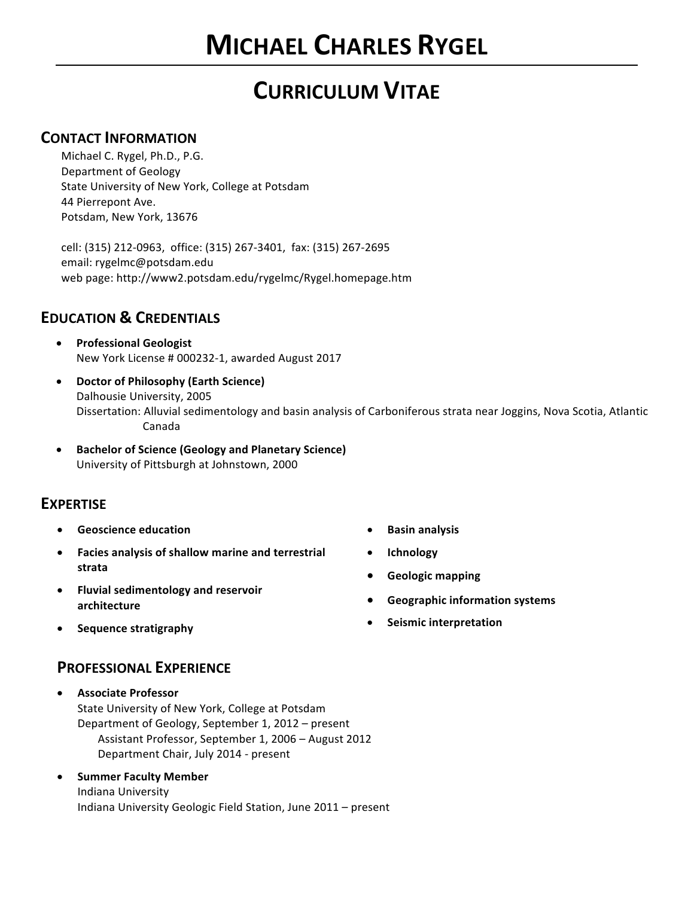# **CURRICULUM VITAE**

### **CONTACT INFORMATION**

Michael C. Rygel, Ph.D., P.G. Department of Geology State University of New York, College at Potsdam 44 Pierrepont Ave. Potsdam, New York, 13676

cell: (315) 212-0963, office: (315) 267-3401, fax: (315) 267-2695 email: rygelmc@potsdam.edu web page: http://www2.potsdam.edu/rygelmc/Rygel.homepage.htm

## **EDUCATION & CREDENTIALS**

- **Professional Geologist** New York License # 000232-1, awarded August 2017
- **Doctor of Philosophy (Earth Science)** Dalhousie University, 2005 Dissertation: Alluvial sedimentology and basin analysis of Carboniferous strata near Joggins, Nova Scotia, Atlantic Canada
- **Bachelor of Science (Geology and Planetary Science)** University of Pittsburgh at Johnstown, 2000

### **EXPERTISE**

- **Geoscience education**
- Facies analysis of shallow marine and terrestrial **strata**
- **•** Fluvial sedimentology and reservoir **architecture**
- **Sequence stratigraphy**
- **Basin analysis**
- **Ichnology**
- **•** Geologic mapping
- **Geographic information systems**
- **Seismic interpretation**

### **PROFESSIONAL EXPERIENCE**

- **Associate Professor** State University of New York, College at Potsdam Department of Geology, September 1, 2012 – present Assistant Professor, September 1, 2006 - August 2012 Department Chair, July 2014 - present
- **Summer Faculty Member** Indiana University Indiana University Geologic Field Station, June 2011 - present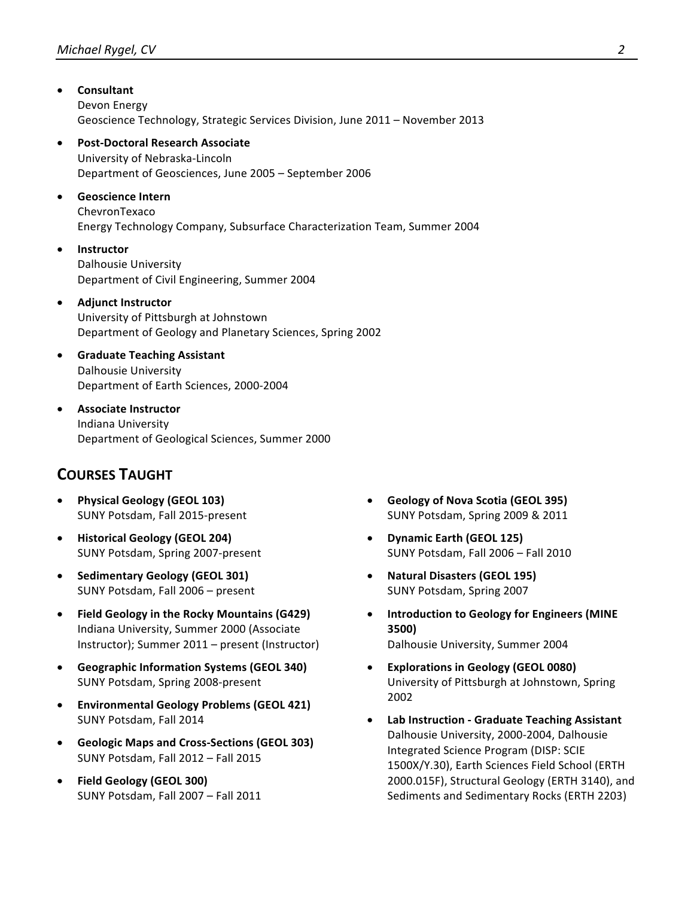- **Consultant** Devon Energy Geoscience Technology, Strategic Services Division, June 2011 - November 2013 **Post-Doctoral Research Associate** University of Nebraska-Lincoln Department of Geosciences, June 2005 - September 2006 • **Geoscience Intern** ChevronTexaco Energy Technology Company, Subsurface Characterization Team, Summer 2004 • **Instructor** Dalhousie University Department of Civil Engineering, Summer 2004 **•** Adjunct Instructor University of Pittsburgh at Johnstown Department of Geology and Planetary Sciences, Spring 2002 • **Graduate Teaching Assistant** Dalhousie University Department of Earth Sciences, 2000-2004 **•** Associate Instructor Indiana University Department of Geological Sciences, Summer 2000 **COURSES TAUGHT**
	- **Physical Geology (GEOL 103)** SUNY Potsdam, Fall 2015-present
	- **Historical Geology (GEOL 204)** SUNY Potsdam, Spring 2007-present
	- **Sedimentary Geology (GEOL 301)** SUNY Potsdam, Fall 2006 - present
	- Field Geology in the Rocky Mountains (G429) Indiana University, Summer 2000 (Associate Instructor); Summer 2011 – present (Instructor)
	- Geographic Information Systems (GEOL 340) SUNY Potsdam, Spring 2008-present
	- **Environmental Geology Problems (GEOL 421)** SUNY Potsdam, Fall 2014
	- **Geologic Maps and Cross-Sections (GEOL 303)** SUNY Potsdam, Fall 2012 – Fall 2015
	- **Field Geology (GEOL 300)** SUNY Potsdam, Fall 2007 - Fall 2011
- **Geology of Nova Scotia (GEOL 395)** SUNY Potsdam, Spring 2009 & 2011
- **Dynamic Earth (GEOL 125)** SUNY Potsdam, Fall 2006 - Fall 2010
- **Natural Disasters (GEOL 195)** SUNY Potsdam, Spring 2007
- **•** Introduction to Geology for Engineers (MINE **3500)** Dalhousie University, Summer 2004
- **•** Explorations in Geology (GEOL 0080) University of Pittsburgh at Johnstown, Spring 2002
- **Lab Instruction Graduate Teaching Assistant** Dalhousie University, 2000-2004, Dalhousie Integrated Science Program (DISP: SCIE 1500X/Y.30), Earth Sciences Field School (ERTH 2000.015F), Structural Geology (ERTH 3140), and Sediments and Sedimentary Rocks (ERTH 2203)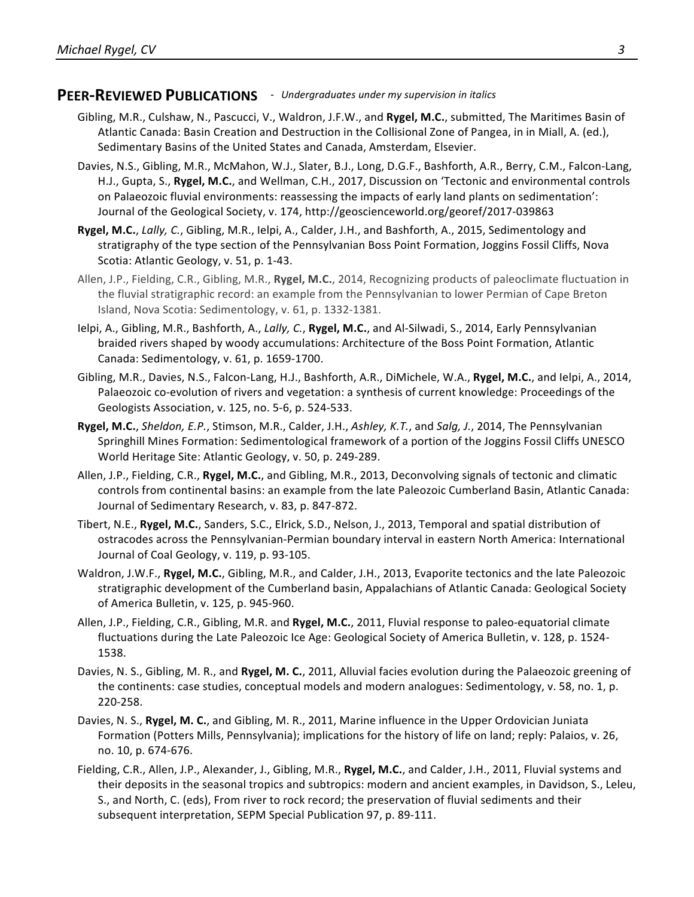### PEER-REVIEWED PUBLICATIONS - Undergraduates under my supervision in italics

- Gibling, M.R., Culshaw, N., Pascucci, V., Waldron, J.F.W., and Rygel, M.C., submitted, The Maritimes Basin of Atlantic Canada: Basin Creation and Destruction in the Collisional Zone of Pangea, in in Miall, A. (ed.), Sedimentary Basins of the United States and Canada, Amsterdam, Elsevier.
- Davies, N.S., Gibling, M.R., McMahon, W.J., Slater, B.J., Long, D.G.F., Bashforth, A.R., Berry, C.M., Falcon-Lang, H.J., Gupta, S., Rygel, M.C., and Wellman, C.H., 2017, Discussion on 'Tectonic and environmental controls on Palaeozoic fluvial environments: reassessing the impacts of early land plants on sedimentation': Journal of the Geological Society, v. 174, http://geoscienceworld.org/georef/2017-039863
- **Rygel, M.C.**, *Lally, C.*, Gibling, M.R., Ielpi, A., Calder, J.H., and Bashforth, A., 2015, Sedimentology and stratigraphy of the type section of the Pennsylvanian Boss Point Formation, Joggins Fossil Cliffs, Nova Scotia: Atlantic Geology, v. 51, p. 1-43.
- Allen, J.P., Fielding, C.R., Gibling, M.R., Rygel, M.C., 2014, Recognizing products of paleoclimate fluctuation in the fluvial stratigraphic record: an example from the Pennsylvanian to lower Permian of Cape Breton Island, Nova Scotia: Sedimentology, v. 61, p. 1332-1381.
- Ielpi, A., Gibling, M.R., Bashforth, A., *Lally, C.*, **Rygel, M.C.**, and Al-Silwadi, S., 2014, Early Pennsylvanian braided rivers shaped by woody accumulations: Architecture of the Boss Point Formation, Atlantic Canada: Sedimentology, v. 61, p. 1659-1700.
- Gibling, M.R., Davies, N.S., Falcon-Lang, H.J., Bashforth, A.R., DiMichele, W.A., Rygel, M.C., and Ielpi, A., 2014, Palaeozoic co-evolution of rivers and vegetation: a synthesis of current knowledge: Proceedings of the Geologists Association, v. 125, no. 5-6, p. 524-533.
- **Rygel, M.C.**, *Sheldon, E.P.*, Stimson, M.R., Calder, J.H., Ashley, K.T., and *Salg, J.*, 2014, The Pennsylvanian Springhill Mines Formation: Sedimentological framework of a portion of the Joggins Fossil Cliffs UNESCO World Heritage Site: Atlantic Geology, v. 50, p. 249-289.
- Allen, J.P., Fielding, C.R., **Rygel, M.C.**, and Gibling, M.R., 2013, Deconvolving signals of tectonic and climatic controls from continental basins: an example from the late Paleozoic Cumberland Basin, Atlantic Canada: Journal of Sedimentary Research, v. 83, p. 847-872.
- Tibert, N.E., **Rygel, M.C.**, Sanders, S.C., Elrick, S.D., Nelson, J., 2013, Temporal and spatial distribution of ostracodes across the Pennsylvanian-Permian boundary interval in eastern North America: International Journal of Coal Geology, v. 119, p. 93-105.
- Waldron, J.W.F., **Rygel, M.C.**, Gibling, M.R., and Calder, J.H., 2013, Evaporite tectonics and the late Paleozoic stratigraphic development of the Cumberland basin, Appalachians of Atlantic Canada: Geological Society of America Bulletin, v. 125, p. 945-960.
- Allen, J.P., Fielding, C.R., Gibling, M.R. and Rygel, M.C., 2011, Fluvial response to paleo-equatorial climate fluctuations during the Late Paleozoic Ice Age: Geological Society of America Bulletin, v. 128, p. 1524-1538.
- Davies, N. S., Gibling, M. R., and Rygel, M. C., 2011, Alluvial facies evolution during the Palaeozoic greening of the continents: case studies, conceptual models and modern analogues: Sedimentology, v. 58, no. 1, p. 220-258.
- Davies, N. S., Rygel, M. C., and Gibling, M. R., 2011, Marine influence in the Upper Ordovician Juniata Formation (Potters Mills, Pennsylvania); implications for the history of life on land; reply: Palaios, v. 26, no. 10, p. 674-676.
- Fielding, C.R., Allen, J.P., Alexander, J., Gibling, M.R., **Rygel, M.C.**, and Calder, J.H., 2011, Fluvial systems and their deposits in the seasonal tropics and subtropics: modern and ancient examples, in Davidson, S., Leleu, S., and North, C. (eds), From river to rock record; the preservation of fluvial sediments and their subsequent interpretation, SEPM Special Publication 97, p. 89-111.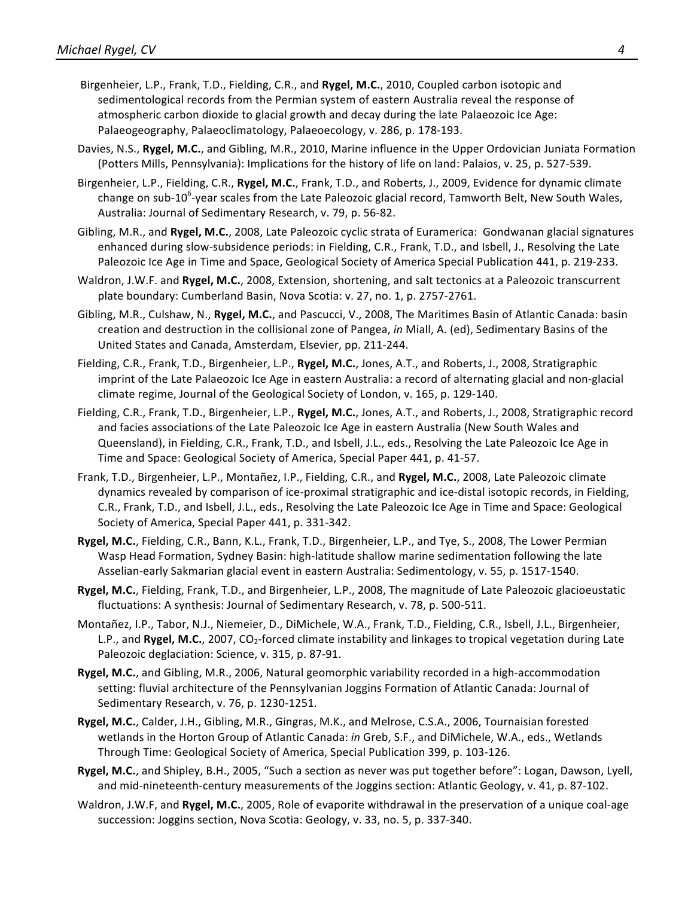- Birgenheier, L.P., Frank, T.D., Fielding, C.R., and Rygel, M.C., 2010, Coupled carbon isotopic and sedimentological records from the Permian system of eastern Australia reveal the response of atmospheric carbon dioxide to glacial growth and decay during the late Palaeozoic Ice Age: Palaeogeography, Palaeoclimatology, Palaeoecology, v. 286, p. 178-193.
- Davies, N.S., Rygel, M.C., and Gibling, M.R., 2010, Marine influence in the Upper Ordovician Juniata Formation (Potters Mills, Pennsylvania): Implications for the history of life on land: Palaios, v. 25, p. 527-539.
- Birgenheier, L.P., Fielding, C.R., Rygel, M.C., Frank, T.D., and Roberts, J., 2009, Evidence for dynamic climate change on sub-10<sup>6</sup>-year scales from the Late Paleozoic glacial record, Tamworth Belt, New South Wales, Australia: Journal of Sedimentary Research, v. 79, p. 56-82.
- Gibling, M.R., and **Rygel, M.C.**, 2008, Late Paleozoic cyclic strata of Euramerica: Gondwanan glacial signatures enhanced during slow-subsidence periods: in Fielding, C.R., Frank, T.D., and Isbell, J., Resolving the Late Paleozoic Ice Age in Time and Space, Geological Society of America Special Publication 441, p. 219-233.
- Waldron, J.W.F. and Rygel, M.C., 2008, Extension, shortening, and salt tectonics at a Paleozoic transcurrent plate boundary: Cumberland Basin, Nova Scotia: v. 27, no. 1, p. 2757-2761.
- Gibling, M.R., Culshaw, N., Rygel, M.C., and Pascucci, V., 2008, The Maritimes Basin of Atlantic Canada: basin creation and destruction in the collisional zone of Pangea, in Miall, A. (ed), Sedimentary Basins of the United States and Canada, Amsterdam, Elsevier, pp. 211-244.
- Fielding, C.R., Frank, T.D., Birgenheier, L.P., Rygel, M.C., Jones, A.T., and Roberts, J., 2008, Stratigraphic imprint of the Late Palaeozoic Ice Age in eastern Australia: a record of alternating glacial and non-glacial climate regime, Journal of the Geological Society of London, v. 165, p. 129-140.
- Fielding, C.R., Frank, T.D., Birgenheier, L.P., **Rygel, M.C.**, Jones, A.T., and Roberts, J., 2008, Stratigraphic record and facies associations of the Late Paleozoic Ice Age in eastern Australia (New South Wales and Queensland), in Fielding, C.R., Frank, T.D., and Isbell, J.L., eds., Resolving the Late Paleozoic Ice Age in Time and Space: Geological Society of America, Special Paper 441, p. 41-57.
- Frank, T.D., Birgenheier, L.P., Montañez, I.P., Fielding, C.R., and Rygel, M.C., 2008, Late Paleozoic climate dynamics revealed by comparison of ice-proximal stratigraphic and ice-distal isotopic records, in Fielding, C.R., Frank, T.D., and Isbell, J.L., eds., Resolving the Late Paleozoic Ice Age in Time and Space: Geological Society of America, Special Paper 441, p. 331-342.
- Rygel, M.C., Fielding, C.R., Bann, K.L., Frank, T.D., Birgenheier, L.P., and Tye, S., 2008, The Lower Permian Wasp Head Formation, Sydney Basin: high-latitude shallow marine sedimentation following the late Asselian-early Sakmarian glacial event in eastern Australia: Sedimentology, v. 55, p. 1517-1540.
- **Rygel, M.C.**, Fielding, Frank, T.D., and Birgenheier, L.P., 2008, The magnitude of Late Paleozoic glacioeustatic fluctuations: A synthesis: Journal of Sedimentary Research, v. 78, p. 500-511.
- Montañez, I.P., Tabor, N.J., Niemeier, D., DiMichele, W.A., Frank, T.D., Fielding, C.R., Isbell, J.L., Birgenheier, L.P., and Rygel, M.C., 2007, CO<sub>2</sub>-forced climate instability and linkages to tropical vegetation during Late Paleozoic deglaciation: Science, v. 315, p. 87-91.
- Rygel, M.C., and Gibling, M.R., 2006, Natural geomorphic variability recorded in a high-accommodation setting: fluvial architecture of the Pennsylvanian Joggins Formation of Atlantic Canada: Journal of Sedimentary Research, v. 76, p. 1230-1251.
- Rygel, M.C., Calder, J.H., Gibling, M.R., Gingras, M.K., and Melrose, C.S.A., 2006, Tournaisian forested wetlands in the Horton Group of Atlantic Canada: *in* Greb, S.F., and DiMichele, W.A., eds., Wetlands Through Time: Geological Society of America, Special Publication 399, p. 103-126.
- **Rygel, M.C.**, and Shipley, B.H., 2005, "Such a section as never was put together before": Logan, Dawson, Lyell, and mid-nineteenth-century measurements of the Joggins section: Atlantic Geology, v. 41, p. 87-102.
- Waldron, J.W.F, and **Rygel, M.C.**, 2005, Role of evaporite withdrawal in the preservation of a unique coal-age succession: Joggins section, Nova Scotia: Geology, v. 33, no. 5, p. 337-340.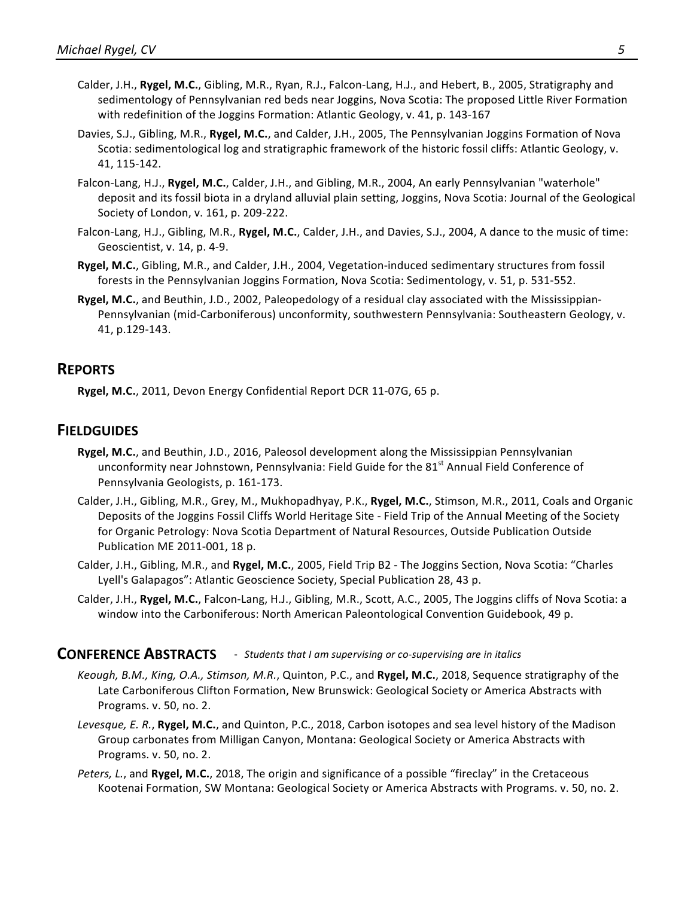- Calder, J.H., Rygel, M.C., Gibling, M.R., Ryan, R.J., Falcon-Lang, H.J., and Hebert, B., 2005, Stratigraphy and sedimentology of Pennsylvanian red beds near Joggins, Nova Scotia: The proposed Little River Formation with redefinition of the Joggins Formation: Atlantic Geology, v. 41, p. 143-167
- Davies, S.J., Gibling, M.R., **Rygel, M.C.**, and Calder, J.H., 2005, The Pennsylvanian Joggins Formation of Nova Scotia: sedimentological log and stratigraphic framework of the historic fossil cliffs: Atlantic Geology, v. 41, 115-142.
- Falcon-Lang, H.J., Rygel, M.C., Calder, J.H., and Gibling, M.R., 2004, An early Pennsylvanian "waterhole" deposit and its fossil biota in a dryland alluvial plain setting, Joggins, Nova Scotia: Journal of the Geological Society of London, v. 161, p. 209-222.
- Falcon-Lang, H.J., Gibling, M.R., **Rygel, M.C.**, Calder, J.H., and Davies, S.J., 2004, A dance to the music of time: Geoscientist, v. 14, p. 4-9.
- **Rygel, M.C.**, Gibling, M.R., and Calder, J.H., 2004, Vegetation-induced sedimentary structures from fossil forests in the Pennsylvanian Joggins Formation, Nova Scotia: Sedimentology, v. 51, p. 531-552.
- **Rygel, M.C.**, and Beuthin, J.D., 2002, Paleopedology of a residual clay associated with the Mississippian-Pennsylvanian (mid-Carboniferous) unconformity, southwestern Pennsylvania: Southeastern Geology, v. 41, p.129-143.

### **REPORTS**

**Rygel, M.C.**, 2011, Devon Energy Confidential Report DCR 11-07G, 65 p.

### **FIELDGUIDES**

- Rygel, M.C., and Beuthin, J.D., 2016, Paleosol development along the Mississippian Pennsylvanian unconformity near Johnstown, Pennsylvania: Field Guide for the 81<sup>st</sup> Annual Field Conference of Pennsylvania Geologists, p. 161-173.
- Calder, J.H., Gibling, M.R., Grey, M., Mukhopadhyay, P.K., Rygel, M.C., Stimson, M.R., 2011, Coals and Organic Deposits of the Joggins Fossil Cliffs World Heritage Site - Field Trip of the Annual Meeting of the Society for Organic Petrology: Nova Scotia Department of Natural Resources, Outside Publication Outside Publication ME 2011-001, 18 p.
- Calder, J.H., Gibling, M.R., and Rygel, M.C., 2005, Field Trip B2 The Joggins Section, Nova Scotia: "Charles Lyell's Galapagos": Atlantic Geoscience Society, Special Publication 28, 43 p.
- Calder, J.H., Rygel, M.C., Falcon-Lang, H.J., Gibling, M.R., Scott, A.C., 2005, The Joggins cliffs of Nova Scotia: a window into the Carboniferous: North American Paleontological Convention Guidebook, 49 p.

#### **CONFERENCE ABSTRACTS** - *Students that I am supervising or co-supervising are in italics*

- *Keough, B.M., King, O.A., Stimson, M.R., Quinton, P.C., and Rygel, M.C., 2018, Sequence stratigraphy of the* Late Carboniferous Clifton Formation, New Brunswick: Geological Society or America Abstracts with Programs. v. 50, no. 2.
- Levesque, E. R., Rygel, M.C., and Quinton, P.C., 2018, Carbon isotopes and sea level history of the Madison Group carbonates from Milligan Canyon, Montana: Geological Society or America Abstracts with Programs. v. 50, no. 2.
- *Peters, L.*, and **Rygel, M.C.**, 2018, The origin and significance of a possible "fireclay" in the Cretaceous Kootenai Formation, SW Montana: Geological Society or America Abstracts with Programs. v. 50, no. 2.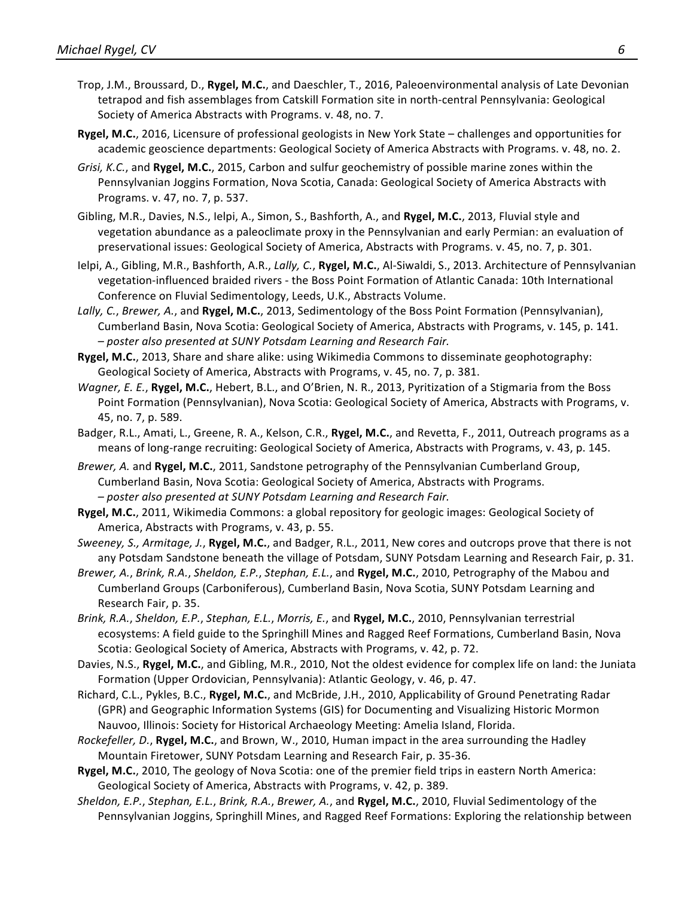- Trop, J.M., Broussard, D., Rygel, M.C., and Daeschler, T., 2016, Paleoenvironmental analysis of Late Devonian tetrapod and fish assemblages from Catskill Formation site in north-central Pennsylvania: Geological Society of America Abstracts with Programs. v. 48, no. 7.
- **Rygel, M.C.**, 2016, Licensure of professional geologists in New York State challenges and opportunities for academic geoscience departments: Geological Society of America Abstracts with Programs. v. 48, no. 2.
- *Grisi, K.C.*, and Rygel, M.C., 2015, Carbon and sulfur geochemistry of possible marine zones within the Pennsylvanian Joggins Formation, Nova Scotia, Canada: Geological Society of America Abstracts with Programs. v. 47, no. 7, p. 537.
- Gibling, M.R., Davies, N.S., Ielpi, A., Simon, S., Bashforth, A., and Rygel, M.C., 2013, Fluvial style and vegetation abundance as a paleoclimate proxy in the Pennsylvanian and early Permian: an evaluation of preservational issues: Geological Society of America, Abstracts with Programs. v. 45, no. 7, p. 301.
- Ielpi, A., Gibling, M.R., Bashforth, A.R., *Lally, C.*, **Rygel, M.C.**, Al-Siwaldi, S., 2013. Architecture of Pennsylvanian vegetation-influenced braided rivers - the Boss Point Formation of Atlantic Canada: 10th International Conference on Fluvial Sedimentology, Leeds, U.K., Abstracts Volume.
- Lally, C., *Brewer, A.*, and Rygel, M.C., 2013, Sedimentology of the Boss Point Formation (Pennsylvanian), Cumberland Basin, Nova Scotia: Geological Society of America, Abstracts with Programs, v. 145, p. 141. *– poster also presented at SUNY Potsdam Learning and Research Fair.*
- **Rygel, M.C.**, 2013, Share and share alike: using Wikimedia Commons to disseminate geophotography: Geological Society of America, Abstracts with Programs, v. 45, no. 7, p. 381.
- *Wagner, E. E.*, **Rygel, M.C.**, Hebert, B.L., and O'Brien, N. R., 2013, Pyritization of a Stigmaria from the Boss Point Formation (Pennsylvanian), Nova Scotia: Geological Society of America, Abstracts with Programs, v. 45, no. 7, p. 589.
- Badger, R.L., Amati, L., Greene, R. A., Kelson, C.R., **Rygel, M.C.**, and Revetta, F., 2011, Outreach programs as a means of long-range recruiting: Geological Society of America, Abstracts with Programs, v. 43, p. 145.
- *Brewer,* A. and Rygel, M.C., 2011, Sandstone petrography of the Pennsylvanian Cumberland Group, Cumberland Basin, Nova Scotia: Geological Society of America, Abstracts with Programs. *– poster also presented at SUNY Potsdam Learning and Research Fair.*
- **Rygel, M.C.**, 2011, Wikimedia Commons: a global repository for geologic images: Geological Society of America, Abstracts with Programs, v. 43, p. 55.
- *Sweeney, S., Armitage, J., Rygel, M.C.,* and Badger, R.L., 2011, New cores and outcrops prove that there is not any Potsdam Sandstone beneath the village of Potsdam, SUNY Potsdam Learning and Research Fair, p. 31.
- *Brewer,* A., *Brink, R.A., Sheldon, E.P., Stephan, E.L.*, and **Rygel, M.C.**, 2010, Petrography of the Mabou and Cumberland Groups (Carboniferous), Cumberland Basin, Nova Scotia, SUNY Potsdam Learning and Research Fair, p. 35.
- *Brink, R.A., Sheldon, E.P., Stephan, E.L., Morris, E.,* and **Rygel, M.C.**, 2010, Pennsylvanian terrestrial ecosystems: A field guide to the Springhill Mines and Ragged Reef Formations, Cumberland Basin, Nova Scotia: Geological Society of America, Abstracts with Programs, v. 42, p. 72.
- Davies, N.S., Rygel, M.C., and Gibling, M.R., 2010, Not the oldest evidence for complex life on land: the Juniata Formation (Upper Ordovician, Pennsylvania): Atlantic Geology, v. 46, p. 47.
- Richard, C.L., Pykles, B.C., Rygel, M.C., and McBride, J.H., 2010, Applicability of Ground Penetrating Radar (GPR) and Geographic Information Systems (GIS) for Documenting and Visualizing Historic Mormon Nauvoo, Illinois: Society for Historical Archaeology Meeting: Amelia Island, Florida.
- *Rockefeller, D.*, **Rygel, M.C.**, and Brown, W., 2010, Human impact in the area surrounding the Hadley Mountain Firetower, SUNY Potsdam Learning and Research Fair, p. 35-36.
- Rygel, M.C., 2010, The geology of Nova Scotia: one of the premier field trips in eastern North America: Geological Society of America, Abstracts with Programs, v. 42, p. 389.
- *Sheldon, E.P., Stephan, E.L., Brink, R.A., Brewer, A.,* and **Rygel, M.C.**, 2010, Fluvial Sedimentology of the Pennsylvanian Joggins, Springhill Mines, and Ragged Reef Formations: Exploring the relationship between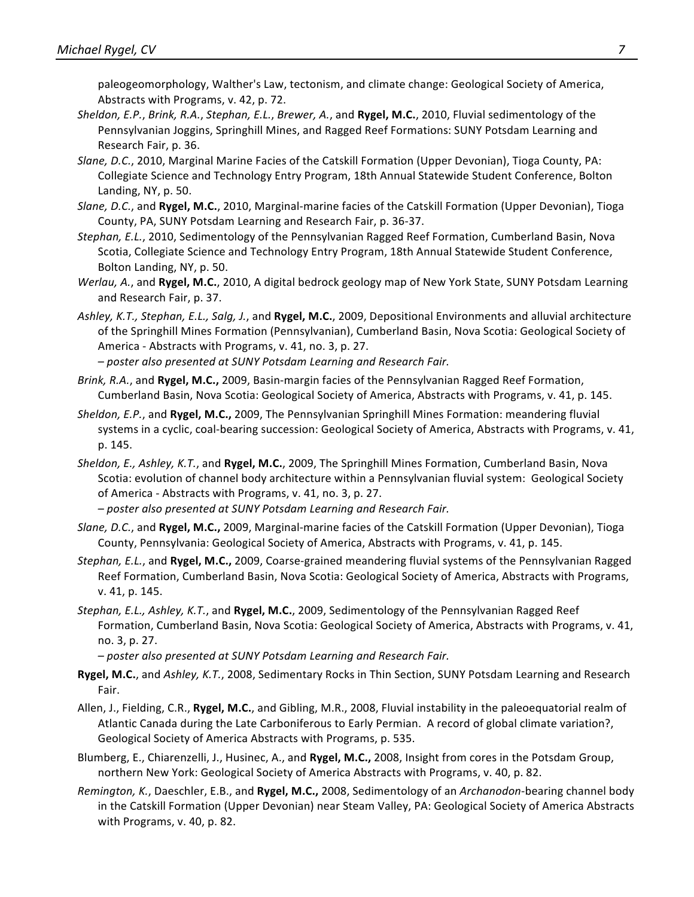paleogeomorphology, Walther's Law, tectonism, and climate change: Geological Society of America, Abstracts with Programs, v. 42, p. 72.

- *Sheldon, E.P., Brink, R.A., Stephan, E.L., Brewer, A.,* and **Rygel, M.C.**, 2010, Fluvial sedimentology of the Pennsylvanian Joggins, Springhill Mines, and Ragged Reef Formations: SUNY Potsdam Learning and Research Fair, p. 36.
- Slane, D.C., 2010, Marginal Marine Facies of the Catskill Formation (Upper Devonian), Tioga County, PA: Collegiate Science and Technology Entry Program, 18th Annual Statewide Student Conference, Bolton Landing, NY, p. 50.
- *Slane, D.C.*, and Rygel, M.C., 2010, Marginal-marine facies of the Catskill Formation (Upper Devonian), Tioga County, PA, SUNY Potsdam Learning and Research Fair, p. 36-37.
- Stephan, E.L., 2010, Sedimentology of the Pennsylvanian Ragged Reef Formation, Cumberland Basin, Nova Scotia, Collegiate Science and Technology Entry Program, 18th Annual Statewide Student Conference, Bolton Landing, NY, p. 50.
- *Werlau, A.*, and Rygel, M.C., 2010, A digital bedrock geology map of New York State, SUNY Potsdam Learning and Research Fair, p. 37.
- Ashley, K.T., Stephan, E.L., Salg, J., and **Rygel, M.C.**, 2009, Depositional Environments and alluvial architecture of the Springhill Mines Formation (Pennsylvanian), Cumberland Basin, Nova Scotia: Geological Society of America - Abstracts with Programs, v. 41, no. 3, p. 27. *– poster also presented at SUNY Potsdam Learning and Research Fair.*
- *Brink, R.A.,* and *Rygel, M.C., 2009, Basin-margin facies* of the Pennsylvanian Ragged Reef Formation, Cumberland Basin, Nova Scotia: Geological Society of America, Abstracts with Programs, v. 41, p. 145.
- *Sheldon, E.P.*, and **Rygel, M.C.,** 2009, The Pennsylvanian Springhill Mines Formation: meandering fluvial systems in a cyclic, coal-bearing succession: Geological Society of America, Abstracts with Programs, v. 41, p. 145.
- *Sheldon, E., Ashley, K.T.,* and **Rygel, M.C.**, 2009, The Springhill Mines Formation, Cumberland Basin, Nova Scotia: evolution of channel body architecture within a Pennsylvanian fluvial system: Geological Society of America - Abstracts with Programs, v. 41, no. 3, p. 27.
	- *– poster also presented at SUNY Potsdam Learning and Research Fair.*
- *Slane, D.C.*, and Rygel, M.C., 2009, Marginal-marine facies of the Catskill Formation (Upper Devonian), Tioga County, Pennsylvania: Geological Society of America, Abstracts with Programs, v. 41, p. 145.
- *Stephan, E.L.*, and **Rygel, M.C.**, 2009, Coarse-grained meandering fluvial systems of the Pennsylvanian Ragged Reef Formation, Cumberland Basin, Nova Scotia: Geological Society of America, Abstracts with Programs, v. 41, p. 145.
- *Stephan, E.L., Ashley, K.T.,* and Rygel, M.C., 2009, Sedimentology of the Pennsylvanian Ragged Reef Formation, Cumberland Basin, Nova Scotia: Geological Society of America, Abstracts with Programs, v. 41, no. 3, p. 27.

*– poster also presented at SUNY Potsdam Learning and Research Fair.*

- **Rygel, M.C.**, and *Ashley, K.T.*, 2008, Sedimentary Rocks in Thin Section, SUNY Potsdam Learning and Research Fair.
- Allen, J., Fielding, C.R., Rygel, M.C., and Gibling, M.R., 2008, Fluvial instability in the paleoequatorial realm of Atlantic Canada during the Late Carboniferous to Early Permian. A record of global climate variation?, Geological Society of America Abstracts with Programs, p. 535.
- Blumberg, E., Chiarenzelli, J., Husinec, A., and Rygel, M.C., 2008, Insight from cores in the Potsdam Group, northern New York: Geological Society of America Abstracts with Programs, v. 40, p. 82.
- *Remington, K.*, Daeschler, E.B., and Rygel, M.C., 2008, Sedimentology of an *Archanodon*-bearing channel body in the Catskill Formation (Upper Devonian) near Steam Valley, PA: Geological Society of America Abstracts with Programs, v. 40, p. 82.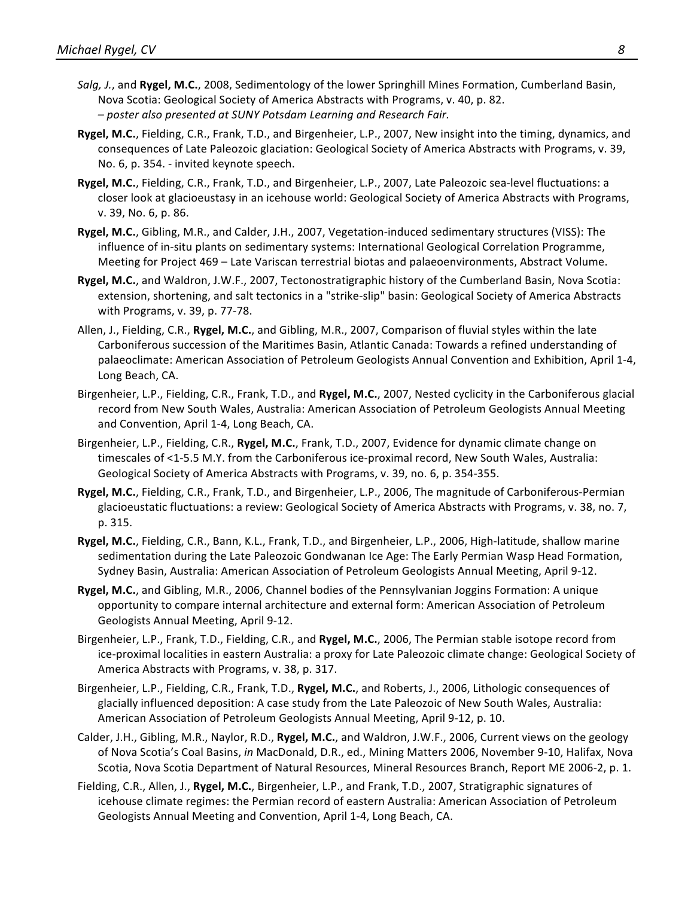- *Salg, J.*, and Rygel, M.C., 2008, Sedimentology of the lower Springhill Mines Formation, Cumberland Basin, Nova Scotia: Geological Society of America Abstracts with Programs, v. 40, p. 82. *– poster also presented at SUNY Potsdam Learning and Research Fair.*
- **Rygel, M.C.**, Fielding, C.R., Frank, T.D., and Birgenheier, L.P., 2007, New insight into the timing, dynamics, and consequences of Late Paleozoic glaciation: Geological Society of America Abstracts with Programs, v. 39, No. 6, p. 354. - invited keynote speech.
- **Rygel, M.C.**, Fielding, C.R., Frank, T.D., and Birgenheier, L.P., 2007, Late Paleozoic sea-level fluctuations: a closer look at glacioeustasy in an icehouse world: Geological Society of America Abstracts with Programs, v. 39, No. 6, p. 86.
- **Rygel, M.C.**, Gibling, M.R., and Calder, J.H., 2007, Vegetation-induced sedimentary structures (VISS): The influence of in-situ plants on sedimentary systems: International Geological Correlation Programme, Meeting for Project 469 - Late Variscan terrestrial biotas and palaeoenvironments, Abstract Volume.
- **Rygel, M.C.**, and Waldron, J.W.F., 2007, Tectonostratigraphic history of the Cumberland Basin, Nova Scotia: extension, shortening, and salt tectonics in a "strike-slip" basin: Geological Society of America Abstracts with Programs, v. 39, p. 77-78.
- Allen, J., Fielding, C.R., Rygel, M.C., and Gibling, M.R., 2007, Comparison of fluvial styles within the late Carboniferous succession of the Maritimes Basin, Atlantic Canada: Towards a refined understanding of palaeoclimate: American Association of Petroleum Geologists Annual Convention and Exhibition, April 1-4, Long Beach, CA.
- Birgenheier, L.P., Fielding, C.R., Frank, T.D., and **Rygel, M.C.**, 2007, Nested cyclicity in the Carboniferous glacial record from New South Wales, Australia: American Association of Petroleum Geologists Annual Meeting and Convention, April 1-4, Long Beach, CA.
- Birgenheier, L.P., Fielding, C.R., **Rygel, M.C.**, Frank, T.D., 2007, Evidence for dynamic climate change on timescales of <1-5.5 M.Y. from the Carboniferous ice-proximal record, New South Wales, Australia: Geological Society of America Abstracts with Programs, v. 39, no. 6, p. 354-355.
- **Rygel, M.C.**, Fielding, C.R., Frank, T.D., and Birgenheier, L.P., 2006, The magnitude of Carboniferous-Permian glacioeustatic fluctuations: a review: Geological Society of America Abstracts with Programs, v. 38, no. 7, p. 315.
- **Rygel, M.C.**, Fielding, C.R., Bann, K.L., Frank, T.D., and Birgenheier, L.P., 2006, High-latitude, shallow marine sedimentation during the Late Paleozoic Gondwanan Ice Age: The Early Permian Wasp Head Formation, Sydney Basin, Australia: American Association of Petroleum Geologists Annual Meeting, April 9-12.
- **Rygel, M.C.**, and Gibling, M.R., 2006, Channel bodies of the Pennsylvanian Joggins Formation: A unique opportunity to compare internal architecture and external form: American Association of Petroleum Geologists Annual Meeting, April 9-12.
- Birgenheier, L.P., Frank, T.D., Fielding, C.R., and **Rygel, M.C.**, 2006, The Permian stable isotope record from ice-proximal localities in eastern Australia: a proxy for Late Paleozoic climate change: Geological Society of America Abstracts with Programs, v. 38, p. 317.
- Birgenheier, L.P., Fielding, C.R., Frank, T.D., Rygel, M.C., and Roberts, J., 2006, Lithologic consequences of glacially influenced deposition: A case study from the Late Paleozoic of New South Wales, Australia: American Association of Petroleum Geologists Annual Meeting, April 9-12, p. 10.
- Calder, J.H., Gibling, M.R., Naylor, R.D., Rygel, M.C., and Waldron, J.W.F., 2006, Current views on the geology of Nova Scotia's Coal Basins, in MacDonald, D.R., ed., Mining Matters 2006, November 9-10, Halifax, Nova Scotia, Nova Scotia Department of Natural Resources, Mineral Resources Branch, Report ME 2006-2, p. 1.
- Fielding, C.R., Allen, J., Rygel, M.C., Birgenheier, L.P., and Frank, T.D., 2007, Stratigraphic signatures of icehouse climate regimes: the Permian record of eastern Australia: American Association of Petroleum Geologists Annual Meeting and Convention, April 1-4, Long Beach, CA.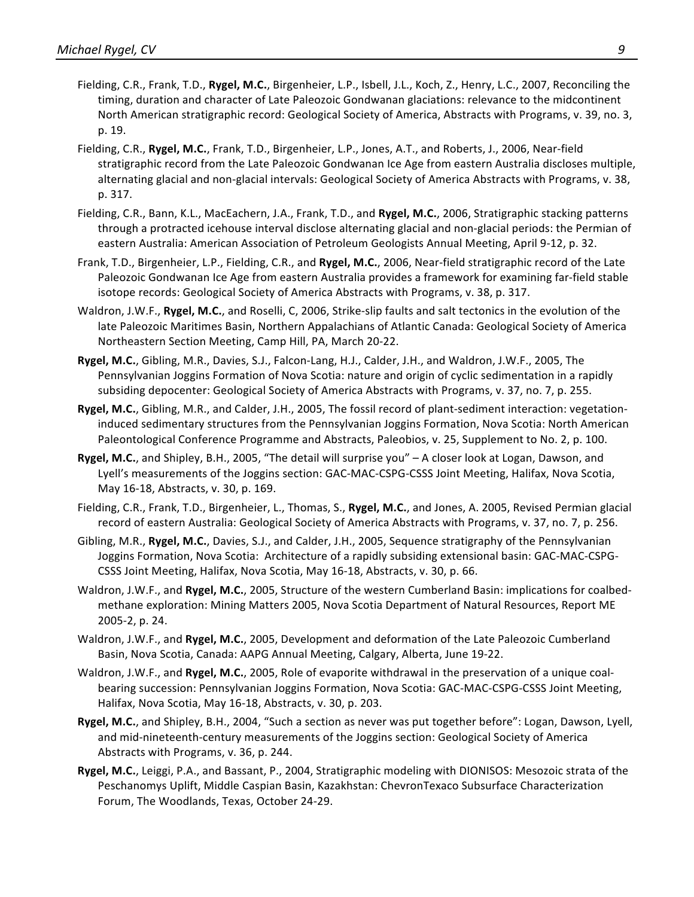- Fielding, C.R., Frank, T.D., Rygel, M.C., Birgenheier, L.P., Isbell, J.L., Koch, Z., Henry, L.C., 2007, Reconciling the timing, duration and character of Late Paleozoic Gondwanan glaciations: relevance to the midcontinent North American stratigraphic record: Geological Society of America, Abstracts with Programs, v. 39, no. 3, p. 19.
- Fielding, C.R., Rygel, M.C., Frank, T.D., Birgenheier, L.P., Jones, A.T., and Roberts, J., 2006, Near-field stratigraphic record from the Late Paleozoic Gondwanan Ice Age from eastern Australia discloses multiple, alternating glacial and non-glacial intervals: Geological Society of America Abstracts with Programs, v. 38, p. 317.
- Fielding, C.R., Bann, K.L., MacEachern, J.A., Frank, T.D., and **Rygel, M.C.**, 2006, Stratigraphic stacking patterns through a protracted icehouse interval disclose alternating glacial and non-glacial periods: the Permian of eastern Australia: American Association of Petroleum Geologists Annual Meeting, April 9-12, p. 32.
- Frank, T.D., Birgenheier, L.P., Fielding, C.R., and Rygel, M.C., 2006, Near-field stratigraphic record of the Late Paleozoic Gondwanan Ice Age from eastern Australia provides a framework for examining far-field stable isotope records: Geological Society of America Abstracts with Programs, v. 38, p. 317.
- Waldron, J.W.F., Rygel, M.C., and Roselli, C, 2006, Strike-slip faults and salt tectonics in the evolution of the late Paleozoic Maritimes Basin, Northern Appalachians of Atlantic Canada: Geological Society of America Northeastern Section Meeting, Camp Hill, PA, March 20-22.
- Rygel, M.C., Gibling, M.R., Davies, S.J., Falcon-Lang, H.J., Calder, J.H., and Waldron, J.W.F., 2005, The Pennsylvanian Joggins Formation of Nova Scotia: nature and origin of cyclic sedimentation in a rapidly subsiding depocenter: Geological Society of America Abstracts with Programs, v. 37, no. 7, p. 255.
- **Rygel, M.C.**, Gibling, M.R., and Calder, J.H., 2005, The fossil record of plant-sediment interaction: vegetationinduced sedimentary structures from the Pennsylvanian Joggins Formation, Nova Scotia: North American Paleontological Conference Programme and Abstracts, Paleobios, v. 25, Supplement to No. 2, p. 100.
- **Rygel, M.C.**, and Shipley, B.H., 2005, "The detail will surprise you" A closer look at Logan, Dawson, and Lyell's measurements of the Joggins section: GAC-MAC-CSPG-CSSS Joint Meeting, Halifax, Nova Scotia, May 16-18, Abstracts, v. 30, p. 169.
- Fielding, C.R., Frank, T.D., Birgenheier, L., Thomas, S., Rygel, M.C., and Jones, A. 2005, Revised Permian glacial record of eastern Australia: Geological Society of America Abstracts with Programs, v. 37, no. 7, p. 256.
- Gibling, M.R., Rygel, M.C., Davies, S.J., and Calder, J.H., 2005, Sequence stratigraphy of the Pennsylvanian Joggins Formation, Nova Scotia: Architecture of a rapidly subsiding extensional basin: GAC-MAC-CSPG-CSSS Joint Meeting, Halifax, Nova Scotia, May 16-18, Abstracts, v. 30, p. 66.
- Waldron, J.W.F., and Rygel, M.C., 2005, Structure of the western Cumberland Basin: implications for coalbedmethane exploration: Mining Matters 2005, Nova Scotia Department of Natural Resources, Report ME 2005-2, p. 24.
- Waldron, J.W.F., and **Rygel, M.C.**, 2005, Development and deformation of the Late Paleozoic Cumberland Basin, Nova Scotia, Canada: AAPG Annual Meeting, Calgary, Alberta, June 19-22.
- Waldron, J.W.F., and Rygel, M.C., 2005, Role of evaporite withdrawal in the preservation of a unique coalbearing succession: Pennsylvanian Joggins Formation, Nova Scotia: GAC-MAC-CSPG-CSSS Joint Meeting, Halifax, Nova Scotia, May 16-18, Abstracts, v. 30, p. 203.
- **Rygel, M.C.**, and Shipley, B.H., 2004, "Such a section as never was put together before": Logan, Dawson, Lyell, and mid-nineteenth-century measurements of the Joggins section: Geological Society of America Abstracts with Programs, v. 36, p. 244.
- **Rygel, M.C.**, Leiggi, P.A., and Bassant, P., 2004, Stratigraphic modeling with DIONISOS: Mesozoic strata of the Peschanomys Uplift, Middle Caspian Basin, Kazakhstan: ChevronTexaco Subsurface Characterization Forum, The Woodlands, Texas, October 24-29.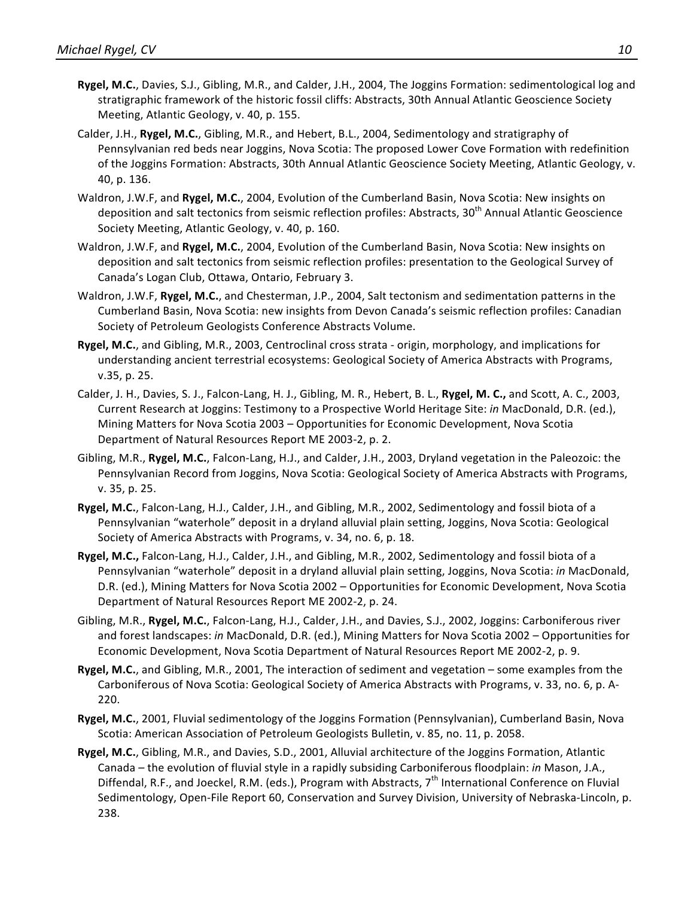- **Rygel, M.C.**, Davies, S.J., Gibling, M.R., and Calder, J.H., 2004, The Joggins Formation: sedimentological log and stratigraphic framework of the historic fossil cliffs: Abstracts, 30th Annual Atlantic Geoscience Society Meeting, Atlantic Geology, v. 40, p. 155.
- Calder, J.H., **Rygel, M.C.**, Gibling, M.R., and Hebert, B.L., 2004, Sedimentology and stratigraphy of Pennsylvanian red beds near Joggins, Nova Scotia: The proposed Lower Cove Formation with redefinition of the Joggins Formation: Abstracts, 30th Annual Atlantic Geoscience Society Meeting, Atlantic Geology, v. 40, p. 136.
- Waldron, J.W.F, and Rygel, M.C., 2004, Evolution of the Cumberland Basin, Nova Scotia: New insights on deposition and salt tectonics from seismic reflection profiles: Abstracts, 30<sup>th</sup> Annual Atlantic Geoscience Society Meeting, Atlantic Geology, v. 40, p. 160.
- Waldron, J.W.F, and Rygel, M.C., 2004, Evolution of the Cumberland Basin, Nova Scotia: New insights on deposition and salt tectonics from seismic reflection profiles: presentation to the Geological Survey of Canada's Logan Club, Ottawa, Ontario, February 3.
- Waldron, J.W.F, Rygel, M.C., and Chesterman, J.P., 2004, Salt tectonism and sedimentation patterns in the Cumberland Basin, Nova Scotia: new insights from Devon Canada's seismic reflection profiles: Canadian Society of Petroleum Geologists Conference Abstracts Volume.
- Rygel, M.C., and Gibling, M.R., 2003, Centroclinal cross strata origin, morphology, and implications for understanding ancient terrestrial ecosystems: Geological Society of America Abstracts with Programs, v.35, p. 25.
- Calder, J. H., Davies, S. J., Falcon-Lang, H. J., Gibling, M. R., Hebert, B. L., Rygel, M. C., and Scott, A. C., 2003, Current Research at Joggins: Testimony to a Prospective World Heritage Site: *in* MacDonald, D.R. (ed.), Mining Matters for Nova Scotia 2003 – Opportunities for Economic Development, Nova Scotia Department of Natural Resources Report ME 2003-2, p. 2.
- Gibling, M.R., Rygel, M.C., Falcon-Lang, H.J., and Calder, J.H., 2003, Dryland vegetation in the Paleozoic: the Pennsylvanian Record from Joggins, Nova Scotia: Geological Society of America Abstracts with Programs, v. 35, p. 25.
- **Rygel, M.C.**, Falcon-Lang, H.J., Calder, J.H., and Gibling, M.R., 2002, Sedimentology and fossil biota of a Pennsylvanian "waterhole" deposit in a dryland alluvial plain setting, Joggins, Nova Scotia: Geological Society of America Abstracts with Programs, v. 34, no. 6, p. 18.
- Rygel, M.C., Falcon-Lang, H.J., Calder, J.H., and Gibling, M.R., 2002, Sedimentology and fossil biota of a Pennsylvanian "waterhole" deposit in a dryland alluvial plain setting, Joggins, Nova Scotia: in MacDonald, D.R. (ed.), Mining Matters for Nova Scotia 2002 – Opportunities for Economic Development, Nova Scotia Department of Natural Resources Report ME 2002-2, p. 24.
- Gibling, M.R., Rygel, M.C., Falcon-Lang, H.J., Calder, J.H., and Davies, S.J., 2002, Joggins: Carboniferous river and forest landscapes: in MacDonald, D.R. (ed.), Mining Matters for Nova Scotia 2002 – Opportunities for Economic Development, Nova Scotia Department of Natural Resources Report ME 2002-2, p. 9.
- **Rygel, M.C.**, and Gibling, M.R., 2001, The interaction of sediment and vegetation some examples from the Carboniferous of Nova Scotia: Geological Society of America Abstracts with Programs, v. 33, no. 6, p. A-220.
- **Rygel, M.C.**, 2001, Fluvial sedimentology of the Joggins Formation (Pennsylvanian), Cumberland Basin, Nova Scotia: American Association of Petroleum Geologists Bulletin, v. 85, no. 11, p. 2058.
- **Rygel, M.C.**, Gibling, M.R., and Davies, S.D., 2001, Alluvial architecture of the Joggins Formation, Atlantic Canada – the evolution of fluvial style in a rapidly subsiding Carboniferous floodplain: *in* Mason, J.A., Diffendal, R.F., and Joeckel, R.M. (eds.), Program with Abstracts,  $7<sup>th</sup>$  International Conference on Fluvial Sedimentology, Open-File Report 60, Conservation and Survey Division, University of Nebraska-Lincoln, p. 238.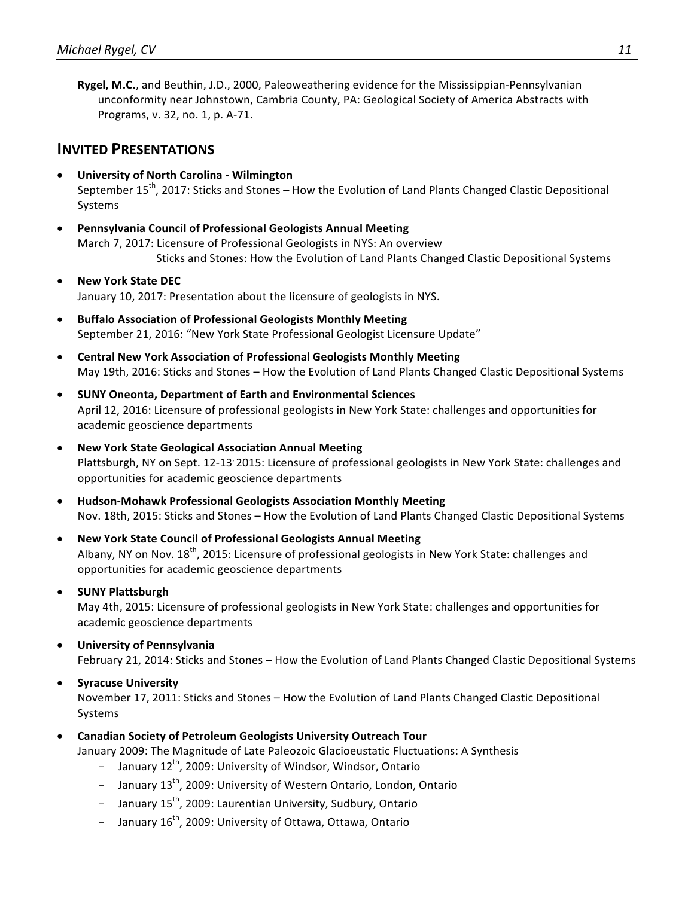**Rygel, M.C.**, and Beuthin, J.D., 2000, Paleoweathering evidence for the Mississippian-Pennsylvanian unconformity near Johnstown, Cambria County, PA: Geological Society of America Abstracts with Programs, v. 32, no. 1, p. A-71.

### **INVITED PRESENTATIONS**

- **University of North Carolina - Wilmington** September  $15<sup>th</sup>$ , 2017: Sticks and Stones – How the Evolution of Land Plants Changed Clastic Depositional Systems
- **Pennsylvania Council of Professional Geologists Annual Meeting** March 7, 2017: Licensure of Professional Geologists in NYS: An overview Sticks and Stones: How the Evolution of Land Plants Changed Clastic Depositional Systems
- **New York State DEC** January 10, 2017: Presentation about the licensure of geologists in NYS.
- **Buffalo Association of Professional Geologists Monthly Meeting** September 21, 2016: "New York State Professional Geologist Licensure Update"
- **•** Central New York Association of Professional Geologists Monthly Meeting May 19th, 2016: Sticks and Stones - How the Evolution of Land Plants Changed Clastic Depositional Systems
- **SUNY Oneonta, Department of Earth and Environmental Sciences** April 12, 2016: Licensure of professional geologists in New York State: challenges and opportunities for academic geoscience departments
- **New York State Geological Association Annual Meeting** Plattsburgh, NY on Sept. 12-13' 2015: Licensure of professional geologists in New York State: challenges and opportunities for academic geoscience departments
- **Hudson-Mohawk Professional Geologists Association Monthly Meeting** Nov. 18th, 2015: Sticks and Stones - How the Evolution of Land Plants Changed Clastic Depositional Systems
- **New York State Council of Professional Geologists Annual Meeting** Albany, NY on Nov.  $18^{th}$ , 2015: Licensure of professional geologists in New York State: challenges and opportunities for academic geoscience departments

#### • **SUNY Plattsburgh**

May 4th, 2015: Licensure of professional geologists in New York State: challenges and opportunities for academic geoscience departments

• **University of Pennsylvania** February 21, 2014: Sticks and Stones - How the Evolution of Land Plants Changed Clastic Depositional Systems

#### • **Syracuse University** November 17, 2011: Sticks and Stones - How the Evolution of Land Plants Changed Clastic Depositional Systems

• **Canadian Society of Petroleum Geologists University Outreach Tour**

January 2009: The Magnitude of Late Paleozoic Glacioeustatic Fluctuations: A Synthesis

- January  $12^{th}$ , 2009: University of Windsor, Windsor, Ontario
- January 13<sup>th</sup>, 2009: University of Western Ontario, London, Ontario
- January 15<sup>th</sup>, 2009: Laurentian University, Sudbury, Ontario
- January 16<sup>th</sup>, 2009: University of Ottawa, Ottawa, Ontario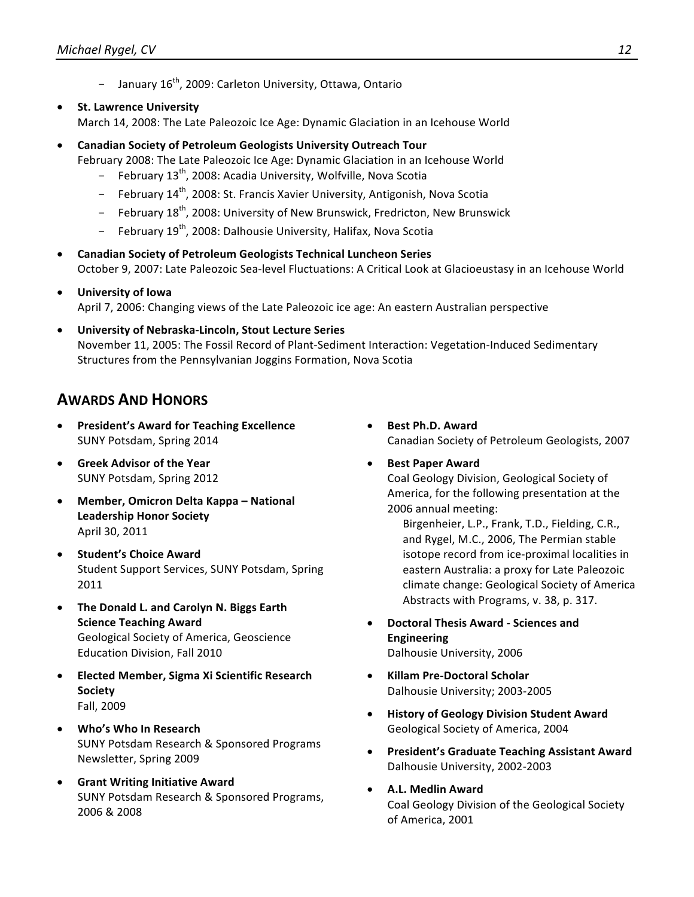- January 16<sup>th</sup>, 2009: Carleton University, Ottawa, Ontario
- **St. Lawrence University**

March 14, 2008: The Late Paleozoic Ice Age: Dynamic Glaciation in an Icehouse World

**• Canadian Society of Petroleum Geologists University Outreach Tour** 

February 2008: The Late Paleozoic Ice Age: Dynamic Glaciation in an Icehouse World

- February 13<sup>th</sup>, 2008: Acadia University, Wolfville, Nova Scotia
- February 14<sup>th</sup>, 2008: St. Francis Xavier University, Antigonish, Nova Scotia
- February 18<sup>th</sup>, 2008: University of New Brunswick, Fredricton, New Brunswick
- February 19<sup>th</sup>, 2008: Dalhousie University, Halifax, Nova Scotia
- **Canadian Society of Petroleum Geologists Technical Luncheon Series** October 9, 2007: Late Paleozoic Sea-level Fluctuations: A Critical Look at Glacioeustasy in an Icehouse World
- **University of Iowa** April 7, 2006: Changing views of the Late Paleozoic ice age: An eastern Australian perspective
- **University of Nebraska-Lincoln, Stout Lecture Series** November 11, 2005: The Fossil Record of Plant-Sediment Interaction: Vegetation-Induced Sedimentary Structures from the Pennsylvanian Joggins Formation, Nova Scotia

## **AWARDS AND HONORS**

- **President's Award for Teaching Excellence** SUNY Potsdam, Spring 2014
- **Greek Advisor of the Year** SUNY Potsdam, Spring 2012
- **Member, Omicron Delta Kappa National Leadership Honor Society** April 30, 2011
- **Student's Choice Award** Student Support Services, SUNY Potsdam, Spring 2011
- The Donald L. and Carolyn N. Biggs Earth **Science Teaching Award** Geological Society of America, Geoscience Education Division, Fall 2010
- **Elected Member, Sigma Xi Scientific Research Society** Fall, 2009
- **Who's Who In Research** SUNY Potsdam Research & Sponsored Programs Newsletter, Spring 2009
- **•** Grant Writing Initiative Award SUNY Potsdam Research & Sponsored Programs, 2006 & 2008
- **Best Ph.D. Award** Canadian Society of Petroleum Geologists, 2007
	- **Best Paper Award** Coal Geology Division, Geological Society of America, for the following presentation at the 2006 annual meeting:

Birgenheier, L.P., Frank, T.D., Fielding, C.R., and Rygel, M.C., 2006, The Permian stable isotope record from ice-proximal localities in eastern Australia: a proxy for Late Paleozoic climate change: Geological Society of America Abstracts with Programs, v. 38, p. 317.

- **Doctoral Thesis Award - Sciences and Engineering** Dalhousie University, 2006
- **Killam Pre-Doctoral Scholar** Dalhousie University; 2003-2005
- **History of Geology Division Student Award** Geological Society of America, 2004
- **President's Graduate Teaching Assistant Award** Dalhousie University, 2002-2003
- **A.L. Medlin Award** Coal Geology Division of the Geological Society of America, 2001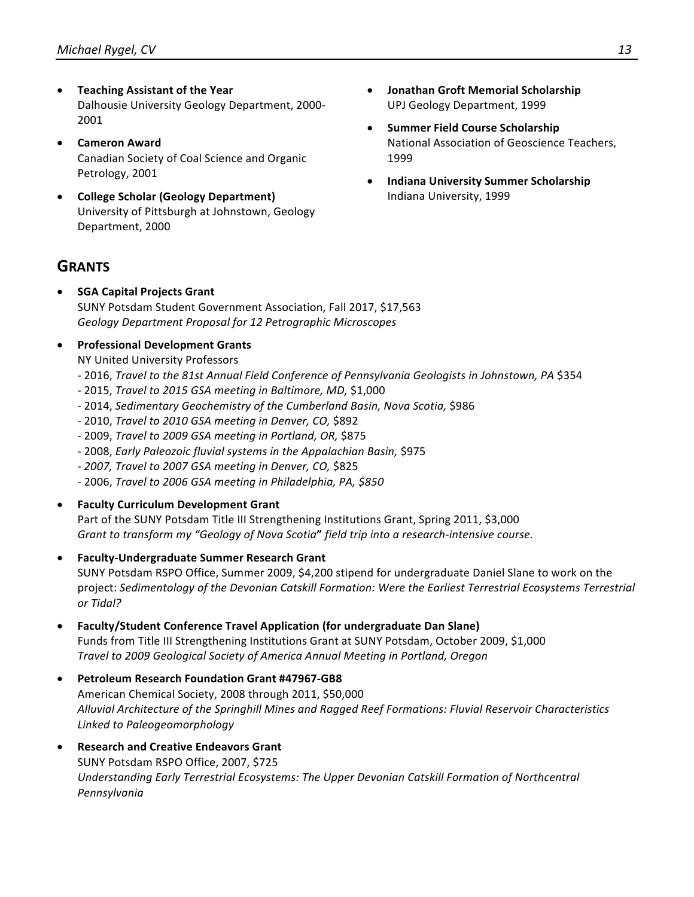- **Teaching Assistant of the Year** Dalhousie University Geology Department, 2000-2001
- **Cameron Award** Canadian Society of Coal Science and Organic Petrology, 2001
- **College Scholar (Geology Department)** University of Pittsburgh at Johnstown, Geology Department, 2000

### **GRANTS**

**SGA Capital Projects Grant** SUNY Potsdam Student Government Association, Fall 2017, \$17,563 *Geology Department Proposal for 12 Petrographic Microscopes*

#### **•** Professional Development Grants

NY United University Professors

- 2016, *Travel to the 81st Annual Field Conference of Pennsylvania Geologists in Johnstown, PA \$354*
- 2015, *Travel to 2015 GSA meeting in Baltimore, MD,* \$1,000
- 2014, Sedimentary Geochemistry of the Cumberland Basin, Nova Scotia, \$986
- 2010, *Travel to 2010 GSA meeting in Denver, CO*, \$892
- 2009, *Travel to 2009 GSA meeting in Portland, OR,* \$875
- 2008, *Early Paleozoic fluvial systems in the Appalachian Basin,* \$975
- *- 2007, Travel to 2007 GSA meeting in Denver, CO,* \$825
- *-* 2006, *Travel to 2006 GSA meeting in Philadelphia, PA, \$850*
- **Faculty Curriculum Development Grant**

Part of the SUNY Potsdam Title III Strengthening Institutions Grant, Spring 2011, \$3,000 Grant to transform my "Geology of Nova Scotia" field trip into a research-intensive course.

**Faculty-Undergraduate Summer Research Grant** 

SUNY Potsdam RSPO Office, Summer 2009, \$4,200 stipend for undergraduate Daniel Slane to work on the project: Sedimentology of the Devonian Catskill Formation: Were the Earliest Terrestrial Ecosystems Terrestrial *or Tidal?*

- **Faculty/Student Conference Travel Application (for undergraduate Dan Slane)** Funds from Title III Strengthening Institutions Grant at SUNY Potsdam, October 2009, \$1,000 *Travel to 2009 Geological Society of America Annual Meeting in Portland, Oregon*
- Petroleum Research Foundation Grant #47967-GB8 American Chemical Society, 2008 through 2011, \$50,000 Alluvial Architecture of the Springhill Mines and Ragged Reef Formations: Fluvial Reservoir Characteristics *Linked to Paleogeomorphology*
- **Research and Creative Endeavors Grant** SUNY Potsdam RSPO Office, 2007, \$725 Understanding Early Terrestrial Ecosystems: The Upper Devonian Catskill Formation of Northcentral *Pennsylvania*
- **Jonathan Groft Memorial Scholarship** UPJ Geology Department, 1999
- **Summer Field Course Scholarship** National Association of Geoscience Teachers, 1999
- **Indiana University Summer Scholarship** Indiana University, 1999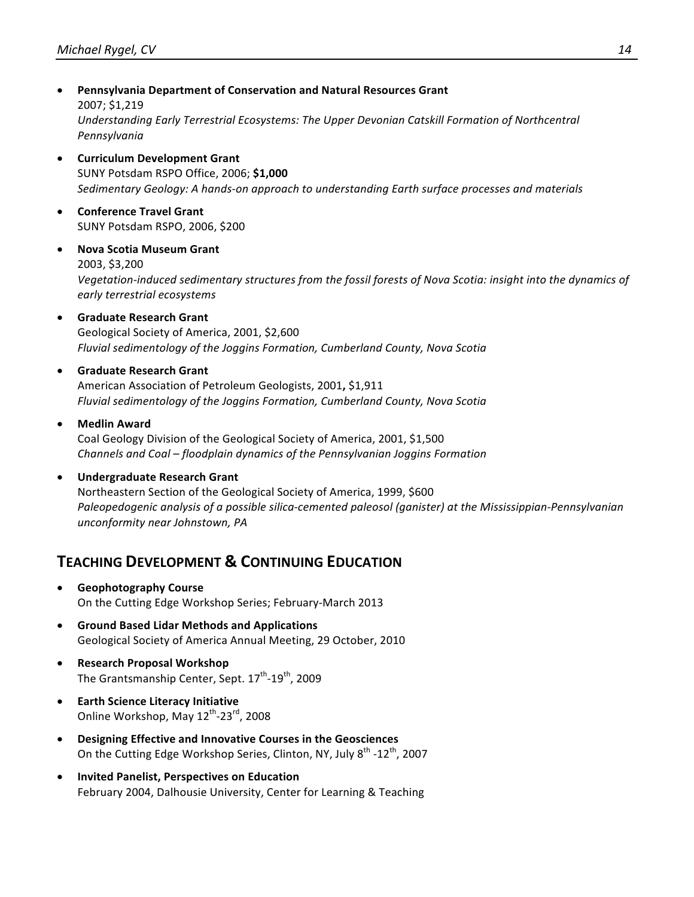- **Pennsylvania Department of Conservation and Natural Resources Grant** 2007; \$1,219 Understanding Early Terrestrial Ecosystems: The Upper Devonian Catskill Formation of Northcentral *Pennsylvania*
- **Curriculum Development Grant** SUNY Potsdam RSPO Office, 2006; **\$1,000** Sedimentary Geology: A hands-on approach to understanding Earth surface processes and materials
- **•** Conference Travel Grant SUNY Potsdam RSPO, 2006, \$200
- **Nova Scotia Museum Grant** 2003, \$3,200 Vegetation-induced sedimentary structures from the fossil forests of Nova Scotia: insight into the dynamics of *early terrestrial ecosystems*
- **Graduate Research Grant** Geological Society of America, 2001, \$2,600 Fluvial sedimentology of the Joggins Formation, Cumberland County, Nova Scotia
- **Graduate Research Grant** American Association of Petroleum Geologists, 2001, \$1,911 *Fluvial sedimentology of the Joggins Formation, Cumberland County, Nova Scotia*
- **Medlin Award** Coal Geology Division of the Geological Society of America, 2001, \$1,500 *Channels and Coal – floodplain dynamics of the Pennsylvanian Joggins Formation*

#### • **Undergraduate Research Grant** Northeastern Section of the Geological Society of America, 1999, \$600 *Paleopedogenic analysis of a possible silica-cemented paleosol (ganister)* at the Mississippian-Pennsylvanian *unconformity near Johnstown, PA*

### **TEACHING DEVELOPMENT & CONTINUING EDUCATION**

- **Geophotography Course** On the Cutting Edge Workshop Series; February-March 2013
- **Ground Based Lidar Methods and Applications** Geological Society of America Annual Meeting, 29 October, 2010
- **Research Proposal Workshop** The Grantsmanship Center, Sept. 17<sup>th</sup>-19<sup>th</sup>, 2009
- **Earth Science Literacy Initiative** Online Workshop, May  $12^{\text{th}}$ -23<sup>rd</sup>, 2008
- **•** Designing Effective and Innovative Courses in the Geosciences On the Cutting Edge Workshop Series, Clinton, NY, July  $8^{th}$  -12<sup>th</sup>, 2007
- **Invited Panelist, Perspectives on Education** February 2004, Dalhousie University, Center for Learning & Teaching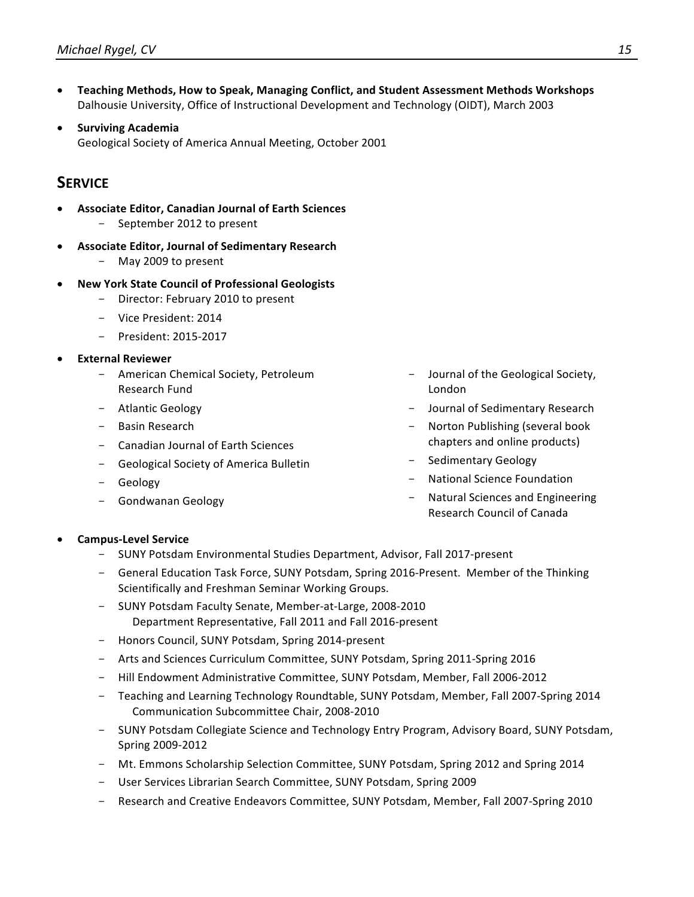- Teaching Methods, How to Speak, Managing Conflict, and Student Assessment Methods Workshops Dalhousie University, Office of Instructional Development and Technology (OIDT), March 2003
- **Surviving Academia** Geological Society of America Annual Meeting, October 2001

### **SERVICE**

- **Associate Editor, Canadian Journal of Earth Sciences** September 2012 to present
- **Associate Editor, Journal of Sedimentary Research**
	- May 2009 to present
- **New York State Council of Professional Geologists**
	- Director: February 2010 to present
	- Vice President: 2014
	- President: 2015-2017
- **External Reviewer**
	- American Chemical Society, Petroleum Research Fund
	- Atlantic Geology
	- Basin Research
	- Canadian Journal of Earth Sciences
	- Geological Society of America Bulletin
	- Geology
	- Gondwanan Geology
- Journal of the Geological Society, London
- Journal of Sedimentary Research
- Norton Publishing (several book chapters and online products)
- Sedimentary Geology
- National Science Foundation
- Natural Sciences and Engineering Research Council of Canada

- **Campus-Level Service**
	- SUNY Potsdam Environmental Studies Department, Advisor, Fall 2017-present
	- General Education Task Force, SUNY Potsdam, Spring 2016-Present. Member of the Thinking Scientifically and Freshman Seminar Working Groups.
	- SUNY Potsdam Faculty Senate, Member-at-Large, 2008-2010 Department Representative, Fall 2011 and Fall 2016-present
	- Honors Council, SUNY Potsdam, Spring 2014-present
	- Arts and Sciences Curriculum Committee, SUNY Potsdam, Spring 2011-Spring 2016
	- Hill Endowment Administrative Committee, SUNY Potsdam, Member, Fall 2006-2012
	- Teaching and Learning Technology Roundtable, SUNY Potsdam, Member, Fall 2007-Spring 2014 Communication Subcommittee Chair, 2008-2010
	- SUNY Potsdam Collegiate Science and Technology Entry Program, Advisory Board, SUNY Potsdam, Spring 2009-2012
	- Mt. Emmons Scholarship Selection Committee, SUNY Potsdam, Spring 2012 and Spring 2014
	- User Services Librarian Search Committee, SUNY Potsdam, Spring 2009
	- Research and Creative Endeavors Committee, SUNY Potsdam, Member, Fall 2007-Spring 2010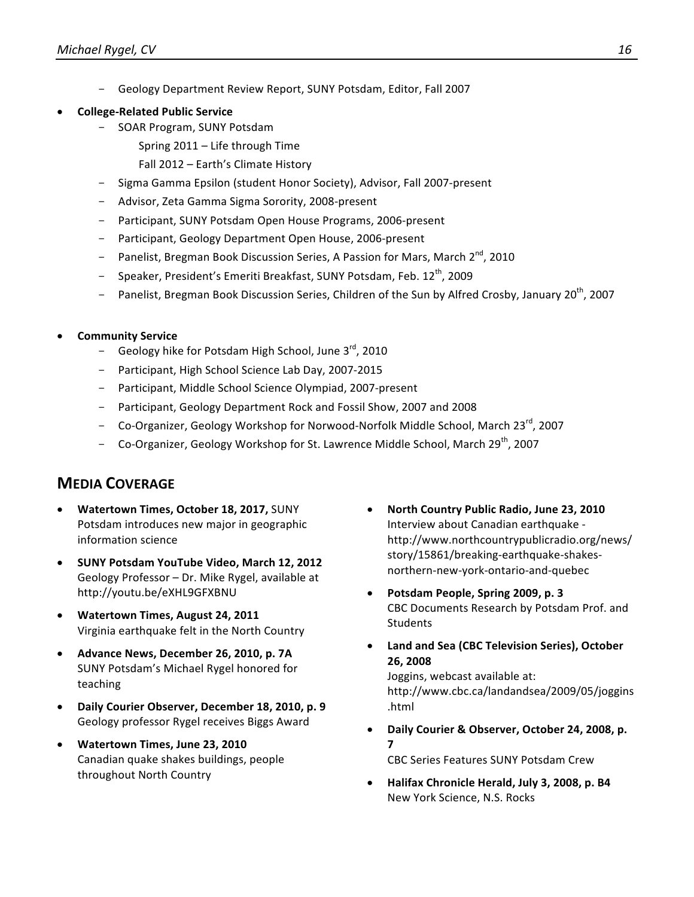- Geology Department Review Report, SUNY Potsdam, Editor, Fall 2007
- **College-Related Public Service** 
	- SOAR Program, SUNY Potsdam
		- Spring  $2011 -$  Life through Time
		- Fall 2012 Earth's Climate History
	- Sigma Gamma Epsilon (student Honor Society), Advisor, Fall 2007-present
	- Advisor, Zeta Gamma Sigma Sorority, 2008-present
	- Participant, SUNY Potsdam Open House Programs, 2006-present
	- Participant, Geology Department Open House, 2006-present
	- Panelist, Bregman Book Discussion Series, A Passion for Mars, March 2<sup>nd</sup>, 2010
	- Speaker, President's Emeriti Breakfast, SUNY Potsdam, Feb. 12<sup>th</sup>, 2009
	- Panelist, Bregman Book Discussion Series, Children of the Sun by Alfred Crosby, January 20<sup>th</sup>, 2007
- **Community Service**
	- Geology hike for Potsdam High School, June  $3^{rd}$ , 2010
	- Participant, High School Science Lab Day, 2007-2015
	- Participant, Middle School Science Olympiad, 2007-present
	- Participant, Geology Department Rock and Fossil Show, 2007 and 2008
	- Co-Organizer, Geology Workshop for Norwood-Norfolk Middle School, March 23<sup>rd</sup>, 2007
	- Co-Organizer, Geology Workshop for St. Lawrence Middle School, March  $29^{th}$ , 2007

### **MEDIA COVERAGE**

- **Watertown Times, October 18, 2017, SUNY** Potsdam introduces new major in geographic information science
- **SUNY Potsdam YouTube Video, March 12, 2012** Geology Professor - Dr. Mike Rygel, available at http://youtu.be/eXHL9GFXBNU
- **Watertown Times, August 24, 2011** Virginia earthquake felt in the North Country
- Advance News, December 26, 2010, p. 7A SUNY Potsdam's Michael Rygel honored for teaching
- **Daily Courier Observer, December 18, 2010, p. 9** Geology professor Rygel receives Biggs Award
- **Watertown Times, June 23, 2010** Canadian quake shakes buildings, people throughout North Country
- **North Country Public Radio, June 23, 2010** Interview about Canadian earthquake http://www.northcountrypublicradio.org/news/ story/15861/breaking-earthquake-shakesnorthern-new-york-ontario-and-quebec
- **Potsdam People, Spring 2009, p. 3** CBC Documents Research by Potsdam Prof. and **Students**
- Land and Sea (CBC Television Series), October **26, 2008**

Joggins, webcast available at: http://www.cbc.ca/landandsea/2009/05/joggins .html

- Daily Courier & Observer, October 24, 2008, p. **7** CBC Series Features SUNY Potsdam Crew
- **Halifax Chronicle Herald, July 3, 2008, p. B4** New York Science, N.S. Rocks